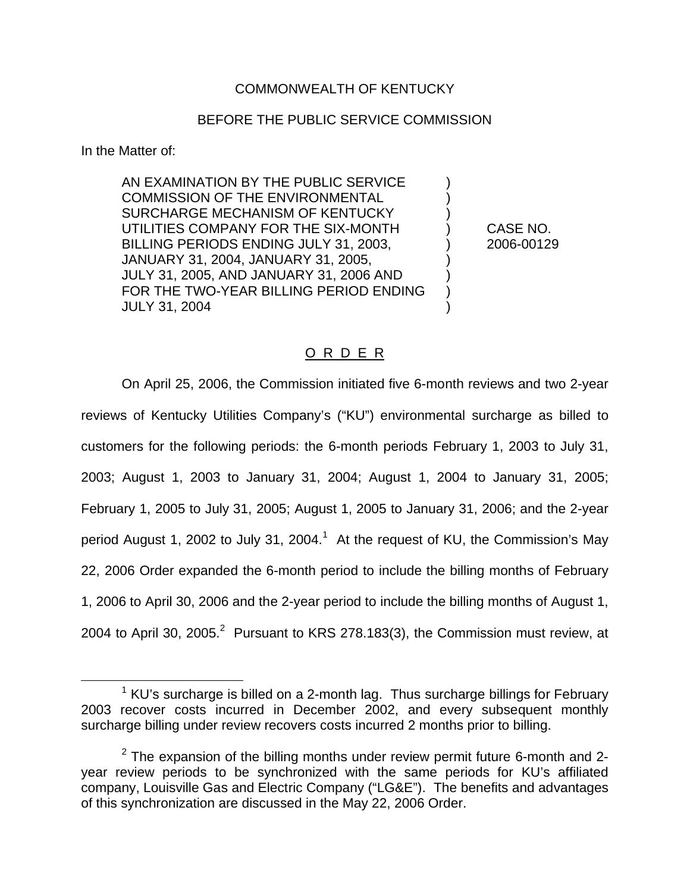## COMMONWEALTH OF KENTUCKY

## BEFORE THE PUBLIC SERVICE COMMISSION

In the Matter of:

AN EXAMINATION BY THE PUBLIC SERVICE ) COMMISSION OF THE ENVIRONMENTAL SURCHARGE MECHANISM OF KENTUCKY ) UTILITIES COMPANY FOR THE SIX-MONTH ) CASE NO. BILLING PERIODS ENDING JULY 31, 2003, 2006-00129 JANUARY 31, 2004, JANUARY 31, 2005, ) JULY 31, 2005, AND JANUARY 31, 2006 AND ) FOR THE TWO-YEAR BILLING PERIOD ENDING JULY 31, 2004 )

## O R D E R

On April 25, 2006, the Commission initiated five 6-month reviews and two 2-year reviews of Kentucky Utilities Company's ("KU") environmental surcharge as billed to customers for the following periods: the 6-month periods February 1, 2003 to July 31, 2003; August 1, 2003 to January 31, 2004; August 1, 2004 to January 31, 2005; February 1, 2005 to July 31, 2005; August 1, 2005 to January 31, 2006; and the 2-year period August 1, 2002 to July 31, 2004.<sup>1</sup> At the request of KU, the Commission's May 22, 2006 Order expanded the 6-month period to include the billing months of February 1, 2006 to April 30, 2006 and the 2-year period to include the billing months of August 1, 2004 to April 30, 2005. $^2$  Pursuant to KRS 278.183(3), the Commission must review, at

 $1$  KU's surcharge is billed on a 2-month lag. Thus surcharge billings for February 2003 recover costs incurred in December 2002, and every subsequent monthly surcharge billing under review recovers costs incurred 2 months prior to billing.

 $2$  The expansion of the billing months under review permit future 6-month and 2year review periods to be synchronized with the same periods for KU's affiliated company, Louisville Gas and Electric Company ("LG&E"). The benefits and advantages of this synchronization are discussed in the May 22, 2006 Order.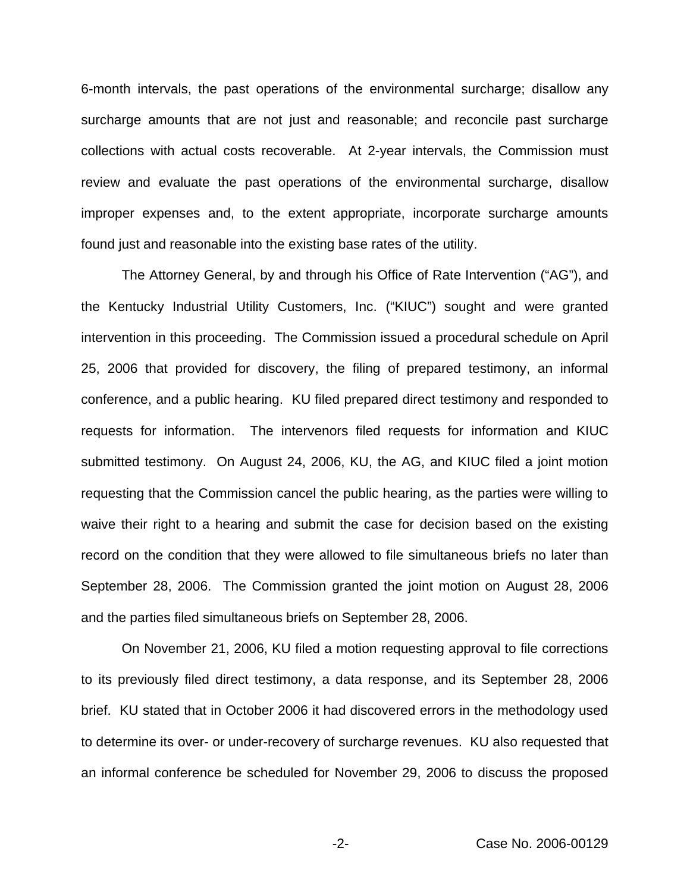6-month intervals, the past operations of the environmental surcharge; disallow any surcharge amounts that are not just and reasonable; and reconcile past surcharge collections with actual costs recoverable. At 2-year intervals, the Commission must review and evaluate the past operations of the environmental surcharge, disallow improper expenses and, to the extent appropriate, incorporate surcharge amounts found just and reasonable into the existing base rates of the utility.

The Attorney General, by and through his Office of Rate Intervention ("AG"), and the Kentucky Industrial Utility Customers, Inc. ("KIUC") sought and were granted intervention in this proceeding. The Commission issued a procedural schedule on April 25, 2006 that provided for discovery, the filing of prepared testimony, an informal conference, and a public hearing. KU filed prepared direct testimony and responded to requests for information. The intervenors filed requests for information and KIUC submitted testimony. On August 24, 2006, KU, the AG, and KIUC filed a joint motion requesting that the Commission cancel the public hearing, as the parties were willing to waive their right to a hearing and submit the case for decision based on the existing record on the condition that they were allowed to file simultaneous briefs no later than September 28, 2006. The Commission granted the joint motion on August 28, 2006 and the parties filed simultaneous briefs on September 28, 2006.

On November 21, 2006, KU filed a motion requesting approval to file corrections to its previously filed direct testimony, a data response, and its September 28, 2006 brief. KU stated that in October 2006 it had discovered errors in the methodology used to determine its over- or under-recovery of surcharge revenues. KU also requested that an informal conference be scheduled for November 29, 2006 to discuss the proposed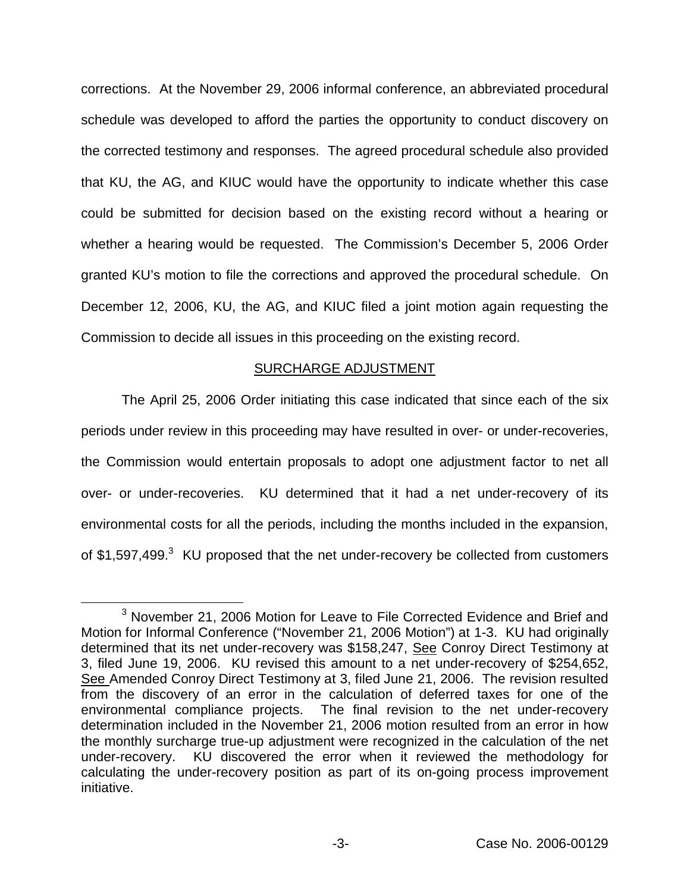corrections. At the November 29, 2006 informal conference, an abbreviated procedural schedule was developed to afford the parties the opportunity to conduct discovery on the corrected testimony and responses. The agreed procedural schedule also provided that KU, the AG, and KIUC would have the opportunity to indicate whether this case could be submitted for decision based on the existing record without a hearing or whether a hearing would be requested. The Commission's December 5, 2006 Order granted KU's motion to file the corrections and approved the procedural schedule. On December 12, 2006, KU, the AG, and KIUC filed a joint motion again requesting the Commission to decide all issues in this proceeding on the existing record.

### SURCHARGE ADJUSTMENT

The April 25, 2006 Order initiating this case indicated that since each of the six periods under review in this proceeding may have resulted in over- or under-recoveries, the Commission would entertain proposals to adopt one adjustment factor to net all over- or under-recoveries. KU determined that it had a net under-recovery of its environmental costs for all the periods, including the months included in the expansion, of \$1,597,499.<sup>3</sup> KU proposed that the net under-recovery be collected from customers

<sup>3</sup> November 21, 2006 Motion for Leave to File Corrected Evidence and Brief and Motion for Informal Conference ("November 21, 2006 Motion") at 1-3. KU had originally determined that its net under-recovery was \$158,247, See Conroy Direct Testimony at 3, filed June 19, 2006. KU revised this amount to a net under-recovery of \$254,652, See Amended Conroy Direct Testimony at 3, filed June 21, 2006. The revision resulted from the discovery of an error in the calculation of deferred taxes for one of the environmental compliance projects. The final revision to the net under-recovery determination included in the November 21, 2006 motion resulted from an error in how the monthly surcharge true-up adjustment were recognized in the calculation of the net under-recovery. KU discovered the error when it reviewed the methodology for calculating the under-recovery position as part of its on-going process improvement initiative.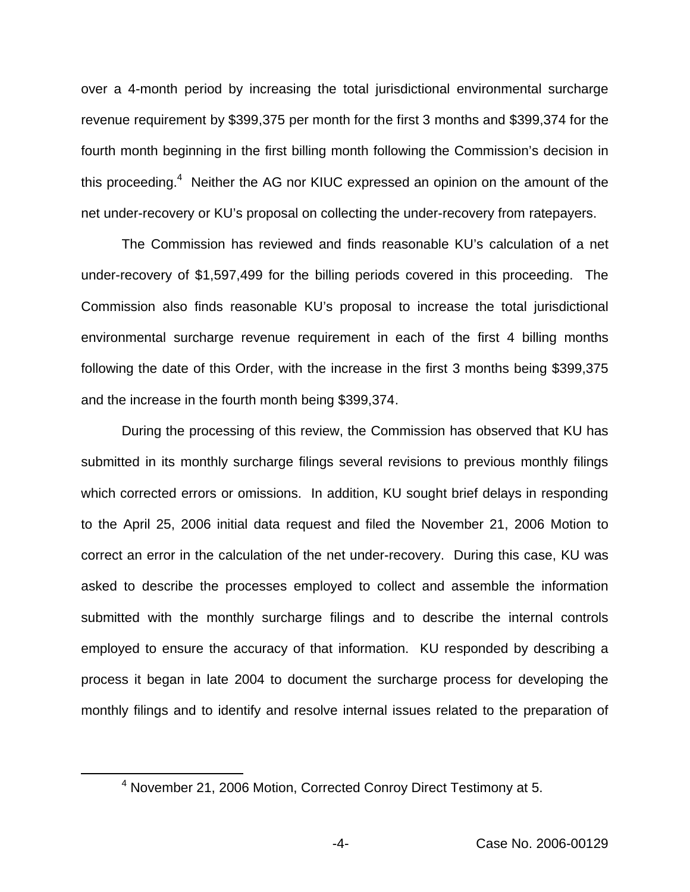over a 4-month period by increasing the total jurisdictional environmental surcharge revenue requirement by \$399,375 per month for the first 3 months and \$399,374 for the fourth month beginning in the first billing month following the Commission's decision in this proceeding.<sup>4</sup> Neither the AG nor KIUC expressed an opinion on the amount of the net under-recovery or KU's proposal on collecting the under-recovery from ratepayers.

The Commission has reviewed and finds reasonable KU's calculation of a net under-recovery of \$1,597,499 for the billing periods covered in this proceeding. The Commission also finds reasonable KU's proposal to increase the total jurisdictional environmental surcharge revenue requirement in each of the first 4 billing months following the date of this Order, with the increase in the first 3 months being \$399,375 and the increase in the fourth month being \$399,374.

During the processing of this review, the Commission has observed that KU has submitted in its monthly surcharge filings several revisions to previous monthly filings which corrected errors or omissions. In addition, KU sought brief delays in responding to the April 25, 2006 initial data request and filed the November 21, 2006 Motion to correct an error in the calculation of the net under-recovery. During this case, KU was asked to describe the processes employed to collect and assemble the information submitted with the monthly surcharge filings and to describe the internal controls employed to ensure the accuracy of that information. KU responded by describing a process it began in late 2004 to document the surcharge process for developing the monthly filings and to identify and resolve internal issues related to the preparation of

<sup>4</sup> November 21, 2006 Motion, Corrected Conroy Direct Testimony at 5.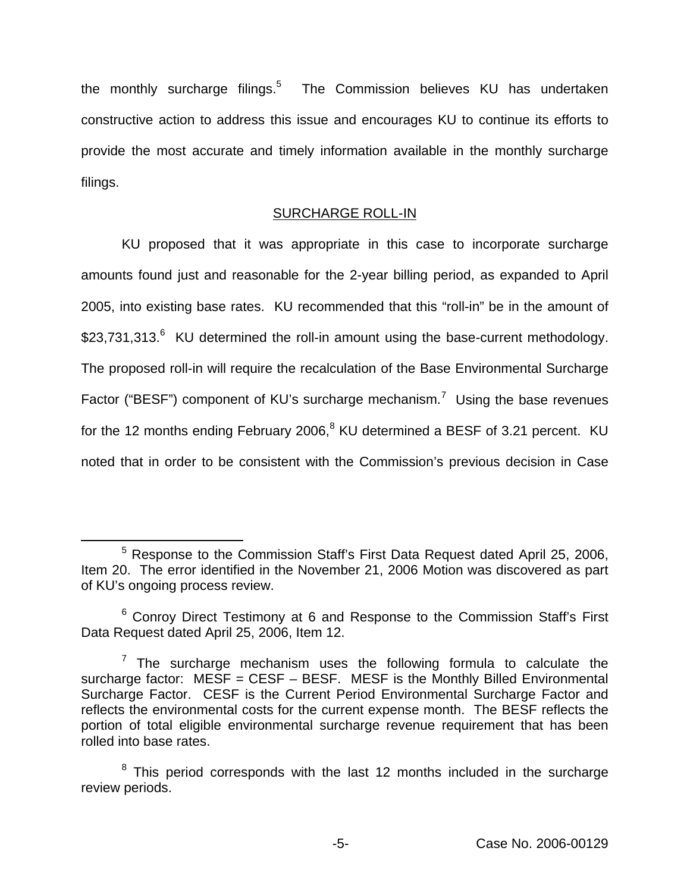the monthly surcharge filings. $5$  The Commission believes KU has undertaken constructive action to address this issue and encourages KU to continue its efforts to provide the most accurate and timely information available in the monthly surcharge filings.

## SURCHARGE ROLL-IN

KU proposed that it was appropriate in this case to incorporate surcharge amounts found just and reasonable for the 2-year billing period, as expanded to April 2005, into existing base rates. KU recommended that this "roll-in" be in the amount of \$23,731,313.<sup>6</sup> KU determined the roll-in amount using the base-current methodology. The proposed roll-in will require the recalculation of the Base Environmental Surcharge Factor ("BESF") component of KU's surcharge mechanism.<sup>7</sup> Using the base revenues for the 12 months ending February 2006, $8$  KU determined a BESF of 3.21 percent. KU noted that in order to be consistent with the Commission's previous decision in Case

<sup>5</sup> Response to the Commission Staff's First Data Request dated April 25, 2006, Item 20. The error identified in the November 21, 2006 Motion was discovered as part of KU's ongoing process review.

 $6$  Conroy Direct Testimony at 6 and Response to the Commission Staff's First Data Request dated April 25, 2006, Item 12.

 $7$  The surcharge mechanism uses the following formula to calculate the surcharge factor:  $MESF = CESF - BESF$ . MESF is the Monthly Billed Environmental Surcharge Factor. CESF is the Current Period Environmental Surcharge Factor and reflects the environmental costs for the current expense month. The BESF reflects the portion of total eligible environmental surcharge revenue requirement that has been rolled into base rates.

 $8$  This period corresponds with the last 12 months included in the surcharge review periods.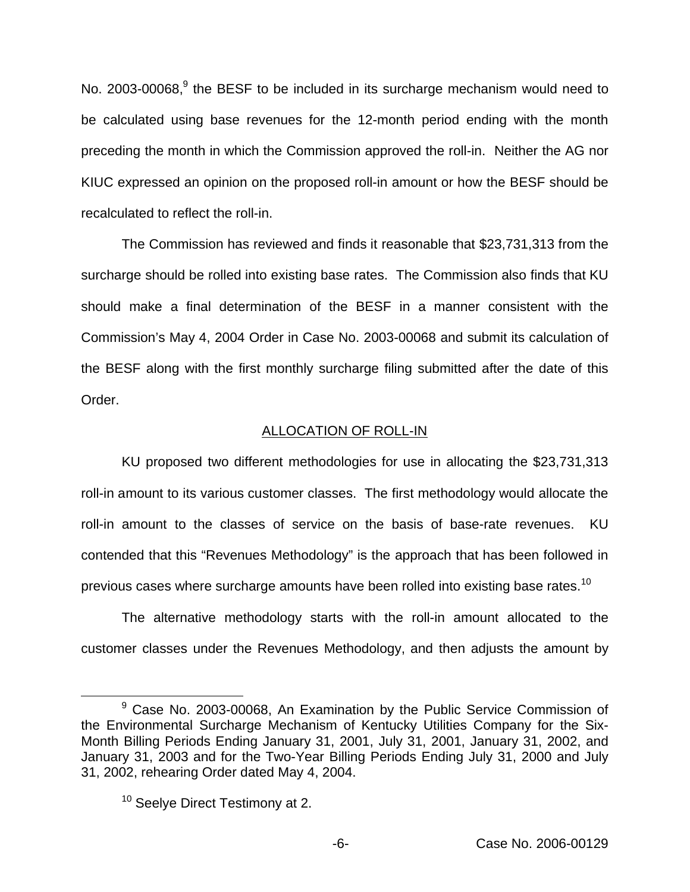No. 2003-00068, $9$  the BESF to be included in its surcharge mechanism would need to be calculated using base revenues for the 12-month period ending with the month preceding the month in which the Commission approved the roll-in. Neither the AG nor KIUC expressed an opinion on the proposed roll-in amount or how the BESF should be recalculated to reflect the roll-in.

The Commission has reviewed and finds it reasonable that \$23,731,313 from the surcharge should be rolled into existing base rates. The Commission also finds that KU should make a final determination of the BESF in a manner consistent with the Commission's May 4, 2004 Order in Case No. 2003-00068 and submit its calculation of the BESF along with the first monthly surcharge filing submitted after the date of this Order.

### ALLOCATION OF ROLL-IN

KU proposed two different methodologies for use in allocating the \$23,731,313 roll-in amount to its various customer classes. The first methodology would allocate the roll-in amount to the classes of service on the basis of base-rate revenues. KU contended that this "Revenues Methodology" is the approach that has been followed in previous cases where surcharge amounts have been rolled into existing base rates.<sup>10</sup>

The alternative methodology starts with the roll-in amount allocated to the customer classes under the Revenues Methodology, and then adjusts the amount by

<sup>&</sup>lt;sup>9</sup> Case No. 2003-00068, An Examination by the Public Service Commission of the Environmental Surcharge Mechanism of Kentucky Utilities Company for the Six-Month Billing Periods Ending January 31, 2001, July 31, 2001, January 31, 2002, and January 31, 2003 and for the Two-Year Billing Periods Ending July 31, 2000 and July 31, 2002, rehearing Order dated May 4, 2004.

<sup>&</sup>lt;sup>10</sup> Seelve Direct Testimony at 2.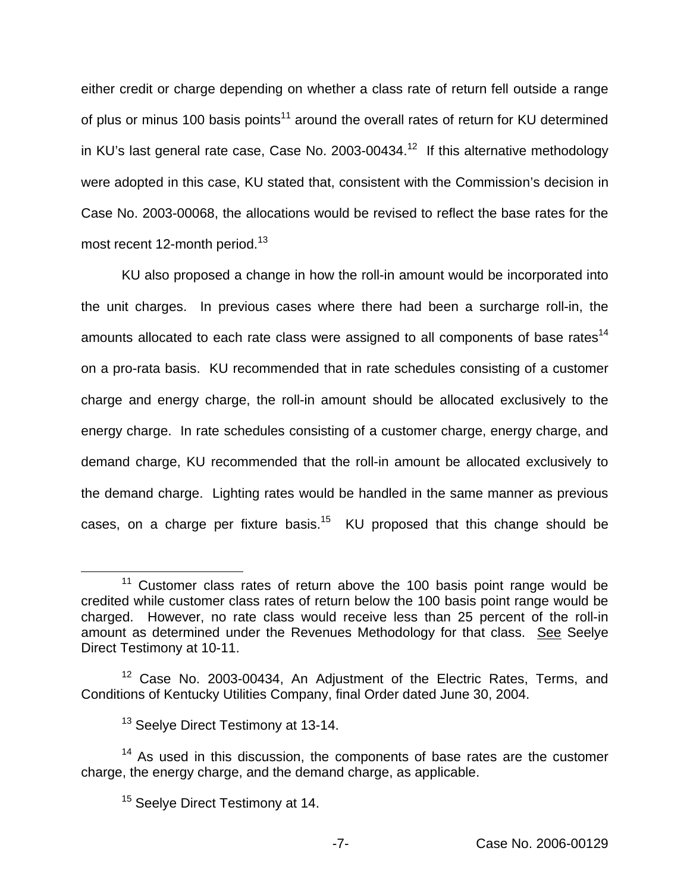either credit or charge depending on whether a class rate of return fell outside a range of plus or minus 100 basis points<sup>11</sup> around the overall rates of return for KU determined in KU's last general rate case, Case No. 2003-00434.<sup>12</sup> If this alternative methodology were adopted in this case, KU stated that, consistent with the Commission's decision in Case No. 2003-00068, the allocations would be revised to reflect the base rates for the most recent 12-month period.<sup>13</sup>

KU also proposed a change in how the roll-in amount would be incorporated into the unit charges. In previous cases where there had been a surcharge roll-in, the amounts allocated to each rate class were assigned to all components of base rates<sup>14</sup> on a pro-rata basis. KU recommended that in rate schedules consisting of a customer charge and energy charge, the roll-in amount should be allocated exclusively to the energy charge. In rate schedules consisting of a customer charge, energy charge, and demand charge, KU recommended that the roll-in amount be allocated exclusively to the demand charge. Lighting rates would be handled in the same manner as previous cases, on a charge per fixture basis.<sup>15</sup> KU proposed that this change should be

 $11$  Customer class rates of return above the 100 basis point range would be credited while customer class rates of return below the 100 basis point range would be charged. However, no rate class would receive less than 25 percent of the roll-in amount as determined under the Revenues Methodology for that class. See Seelye Direct Testimony at 10-11.

<sup>&</sup>lt;sup>12</sup> Case No. 2003-00434, An Adjustment of the Electric Rates, Terms, and Conditions of Kentucky Utilities Company, final Order dated June 30, 2004.

<sup>&</sup>lt;sup>13</sup> Seelye Direct Testimony at 13-14.

 $14$  As used in this discussion, the components of base rates are the customer charge, the energy charge, and the demand charge, as applicable.

<sup>&</sup>lt;sup>15</sup> Seelye Direct Testimony at 14.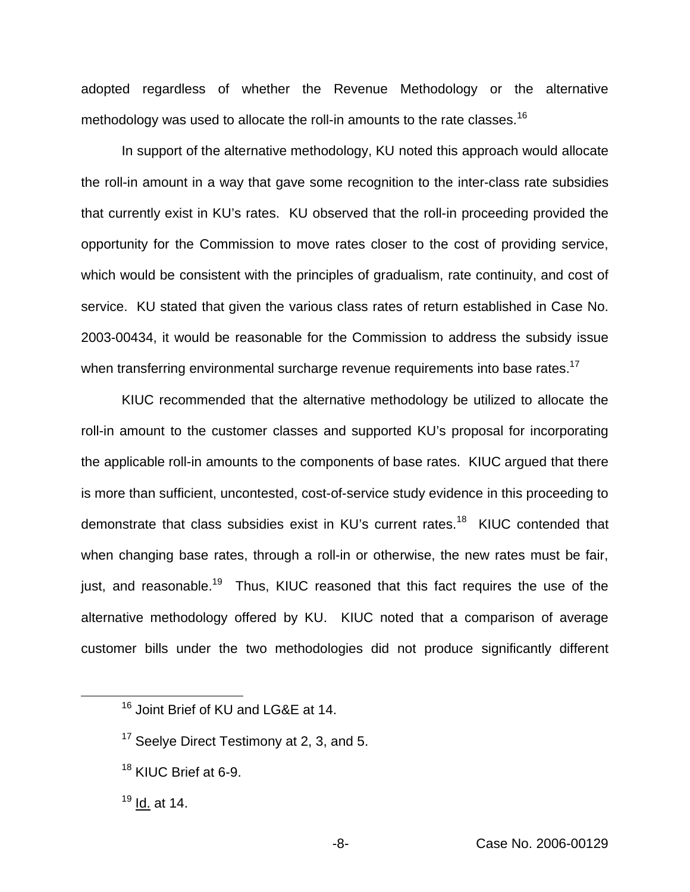adopted regardless of whether the Revenue Methodology or the alternative methodology was used to allocate the roll-in amounts to the rate classes.<sup>16</sup>

In support of the alternative methodology, KU noted this approach would allocate the roll-in amount in a way that gave some recognition to the inter-class rate subsidies that currently exist in KU's rates. KU observed that the roll-in proceeding provided the opportunity for the Commission to move rates closer to the cost of providing service, which would be consistent with the principles of gradualism, rate continuity, and cost of service. KU stated that given the various class rates of return established in Case No. 2003-00434, it would be reasonable for the Commission to address the subsidy issue when transferring environmental surcharge revenue requirements into base rates.<sup>17</sup>

KIUC recommended that the alternative methodology be utilized to allocate the roll-in amount to the customer classes and supported KU's proposal for incorporating the applicable roll-in amounts to the components of base rates. KIUC argued that there is more than sufficient, uncontested, cost-of-service study evidence in this proceeding to demonstrate that class subsidies exist in KU's current rates.<sup>18</sup> KIUC contended that when changing base rates, through a roll-in or otherwise, the new rates must be fair, just, and reasonable.<sup>19</sup> Thus, KIUC reasoned that this fact requires the use of the alternative methodology offered by KU. KIUC noted that a comparison of average customer bills under the two methodologies did not produce significantly different

<sup>18</sup> KIUC Brief at 6-9.

<sup>&</sup>lt;sup>16</sup> Joint Brief of KU and LG&E at 14.

<sup>&</sup>lt;sup>17</sup> Seelye Direct Testimony at 2, 3, and 5.

 $19$  Id. at 14.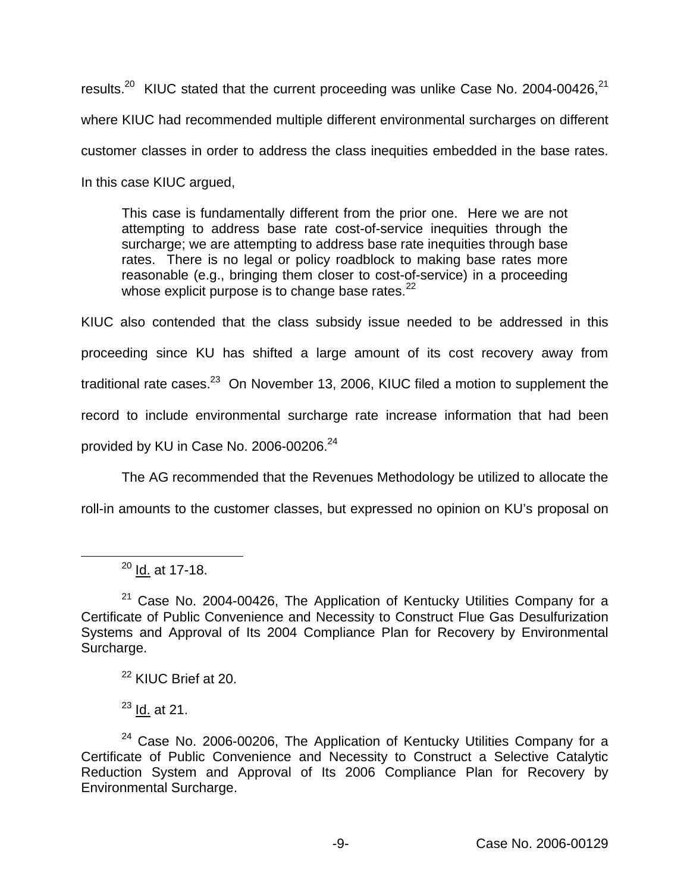results.<sup>20</sup> KIUC stated that the current proceeding was unlike Case No. 2004-00426.<sup>21</sup> where KIUC had recommended multiple different environmental surcharges on different customer classes in order to address the class inequities embedded in the base rates. In this case KIUC argued,

This case is fundamentally different from the prior one. Here we are not attempting to address base rate cost-of-service inequities through the surcharge; we are attempting to address base rate inequities through base rates. There is no legal or policy roadblock to making base rates more reasonable (e.g., bringing them closer to cost-of-service) in a proceeding whose explicit purpose is to change base rates. $^{22}$ 

KIUC also contended that the class subsidy issue needed to be addressed in this proceeding since KU has shifted a large amount of its cost recovery away from traditional rate cases. $^{23}$  On November 13, 2006, KIUC filed a motion to supplement the record to include environmental surcharge rate increase information that had been provided by KU in Case No. 2006-00206. $^{24}$ 

The AG recommended that the Revenues Methodology be utilized to allocate the

roll-in amounts to the customer classes, but expressed no opinion on KU's proposal on

<sup>22</sup> KIUC Brief at 20.

 $23$  Id. at 21.

 $20$  Id. at 17-18.

 $21$  Case No. 2004-00426, The Application of Kentucky Utilities Company for a Certificate of Public Convenience and Necessity to Construct Flue Gas Desulfurization Systems and Approval of Its 2004 Compliance Plan for Recovery by Environmental Surcharge.

 $24$  Case No. 2006-00206, The Application of Kentucky Utilities Company for a Certificate of Public Convenience and Necessity to Construct a Selective Catalytic Reduction System and Approval of Its 2006 Compliance Plan for Recovery by Environmental Surcharge.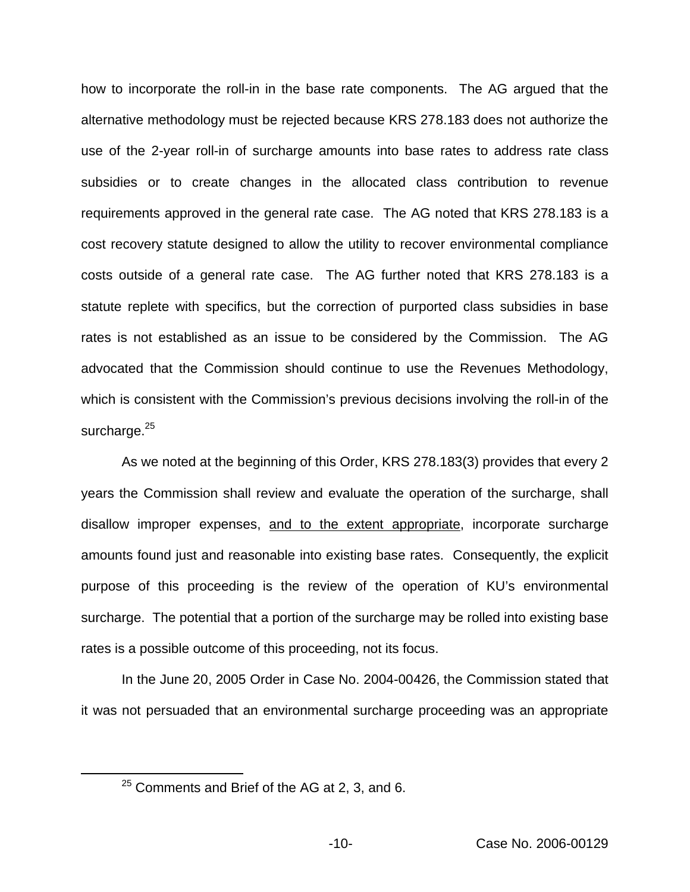how to incorporate the roll-in in the base rate components. The AG argued that the alternative methodology must be rejected because KRS 278.183 does not authorize the use of the 2-year roll-in of surcharge amounts into base rates to address rate class subsidies or to create changes in the allocated class contribution to revenue requirements approved in the general rate case. The AG noted that KRS 278.183 is a cost recovery statute designed to allow the utility to recover environmental compliance costs outside of a general rate case. The AG further noted that KRS 278.183 is a statute replete with specifics, but the correction of purported class subsidies in base rates is not established as an issue to be considered by the Commission. The AG advocated that the Commission should continue to use the Revenues Methodology, which is consistent with the Commission's previous decisions involving the roll-in of the surcharge.<sup>25</sup>

As we noted at the beginning of this Order, KRS 278.183(3) provides that every 2 years the Commission shall review and evaluate the operation of the surcharge, shall disallow improper expenses, and to the extent appropriate, incorporate surcharge amounts found just and reasonable into existing base rates. Consequently, the explicit purpose of this proceeding is the review of the operation of KU's environmental surcharge. The potential that a portion of the surcharge may be rolled into existing base rates is a possible outcome of this proceeding, not its focus.

In the June 20, 2005 Order in Case No. 2004-00426, the Commission stated that it was not persuaded that an environmental surcharge proceeding was an appropriate

 $25$  Comments and Brief of the AG at 2, 3, and 6.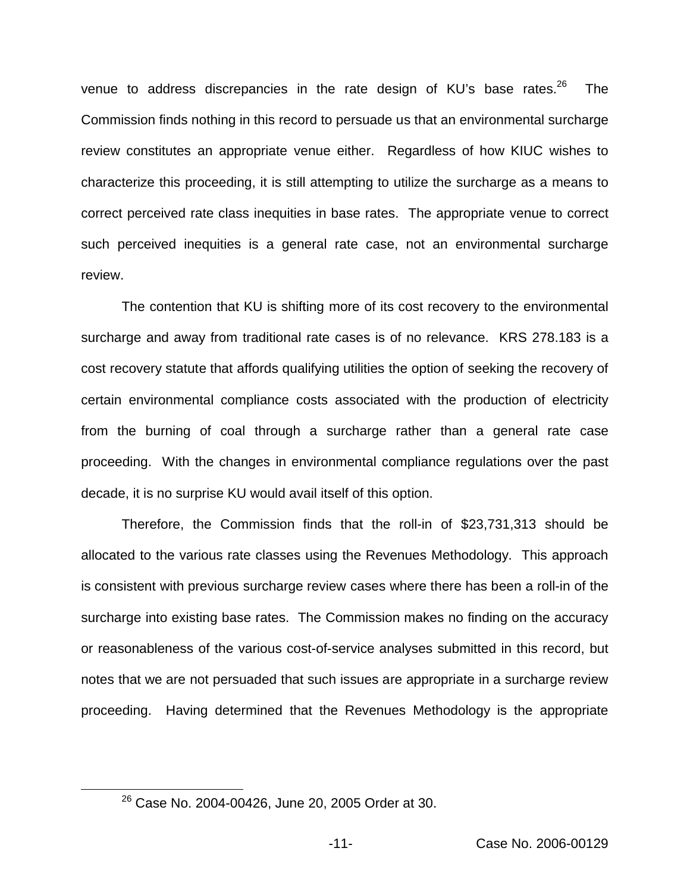venue to address discrepancies in the rate design of KU's base rates.<sup>26</sup> The Commission finds nothing in this record to persuade us that an environmental surcharge review constitutes an appropriate venue either. Regardless of how KIUC wishes to characterize this proceeding, it is still attempting to utilize the surcharge as a means to correct perceived rate class inequities in base rates. The appropriate venue to correct such perceived inequities is a general rate case, not an environmental surcharge review.

The contention that KU is shifting more of its cost recovery to the environmental surcharge and away from traditional rate cases is of no relevance. KRS 278.183 is a cost recovery statute that affords qualifying utilities the option of seeking the recovery of certain environmental compliance costs associated with the production of electricity from the burning of coal through a surcharge rather than a general rate case proceeding. With the changes in environmental compliance regulations over the past decade, it is no surprise KU would avail itself of this option.

Therefore, the Commission finds that the roll-in of \$23,731,313 should be allocated to the various rate classes using the Revenues Methodology. This approach is consistent with previous surcharge review cases where there has been a roll-in of the surcharge into existing base rates. The Commission makes no finding on the accuracy or reasonableness of the various cost-of-service analyses submitted in this record, but notes that we are not persuaded that such issues are appropriate in a surcharge review proceeding. Having determined that the Revenues Methodology is the appropriate

<sup>26</sup> Case No. 2004-00426, June 20, 2005 Order at 30.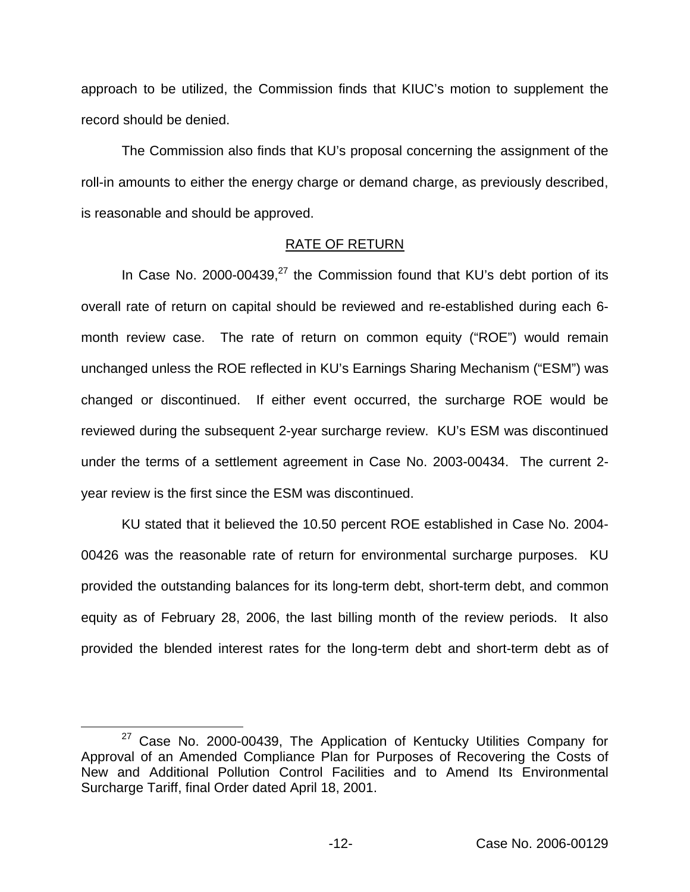approach to be utilized, the Commission finds that KIUC's motion to supplement the record should be denied.

The Commission also finds that KU's proposal concerning the assignment of the roll-in amounts to either the energy charge or demand charge, as previously described, is reasonable and should be approved.

### RATE OF RETURN

In Case No. 2000-00439.<sup>27</sup> the Commission found that KU's debt portion of its overall rate of return on capital should be reviewed and re-established during each 6 month review case. The rate of return on common equity ("ROE") would remain unchanged unless the ROE reflected in KU's Earnings Sharing Mechanism ("ESM") was changed or discontinued. If either event occurred, the surcharge ROE would be reviewed during the subsequent 2-year surcharge review. KU's ESM was discontinued under the terms of a settlement agreement in Case No. 2003-00434. The current 2 year review is the first since the ESM was discontinued.

KU stated that it believed the 10.50 percent ROE established in Case No. 2004- 00426 was the reasonable rate of return for environmental surcharge purposes. KU provided the outstanding balances for its long-term debt, short-term debt, and common equity as of February 28, 2006, the last billing month of the review periods. It also provided the blended interest rates for the long-term debt and short-term debt as of

<sup>&</sup>lt;sup>27</sup> Case No. 2000-00439, The Application of Kentucky Utilities Company for Approval of an Amended Compliance Plan for Purposes of Recovering the Costs of New and Additional Pollution Control Facilities and to Amend Its Environmental Surcharge Tariff, final Order dated April 18, 2001.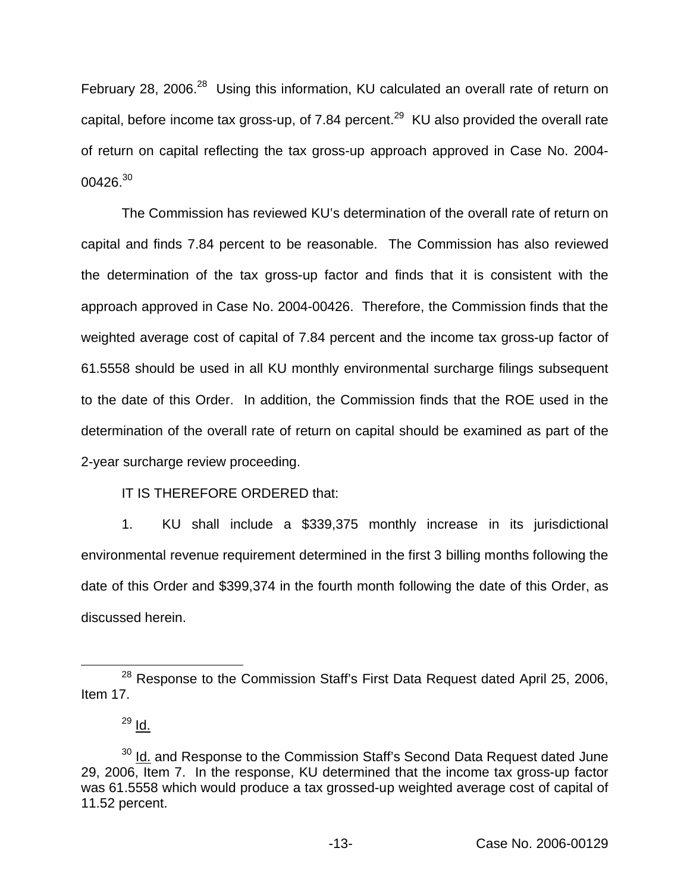February 28, 2006.<sup>28</sup> Using this information, KU calculated an overall rate of return on capital, before income tax gross-up, of 7.84 percent.<sup>29</sup> KU also provided the overall rate of return on capital reflecting the tax gross-up approach approved in Case No. 2004-  $00426.<sup>30</sup>$ 

The Commission has reviewed KU's determination of the overall rate of return on capital and finds 7.84 percent to be reasonable. The Commission has also reviewed the determination of the tax gross-up factor and finds that it is consistent with the approach approved in Case No. 2004-00426. Therefore, the Commission finds that the weighted average cost of capital of 7.84 percent and the income tax gross-up factor of 61.5558 should be used in all KU monthly environmental surcharge filings subsequent to the date of this Order. In addition, the Commission finds that the ROE used in the determination of the overall rate of return on capital should be examined as part of the 2-year surcharge review proceeding.

# IT IS THEREFORE ORDERED that:

1. KU shall include a \$339,375 monthly increase in its jurisdictional environmental revenue requirement determined in the first 3 billing months following the date of this Order and \$399,374 in the fourth month following the date of this Order, as discussed herein.

<sup>&</sup>lt;sup>28</sup> Response to the Commission Staff's First Data Request dated April 25, 2006, Item 17.

<sup>29</sup> Id.

<sup>&</sup>lt;sup>30</sup> Id. and Response to the Commission Staff's Second Data Request dated June 29, 2006, Item 7. In the response, KU determined that the income tax gross-up factor was 61.5558 which would produce a tax grossed-up weighted average cost of capital of 11.52 percent.